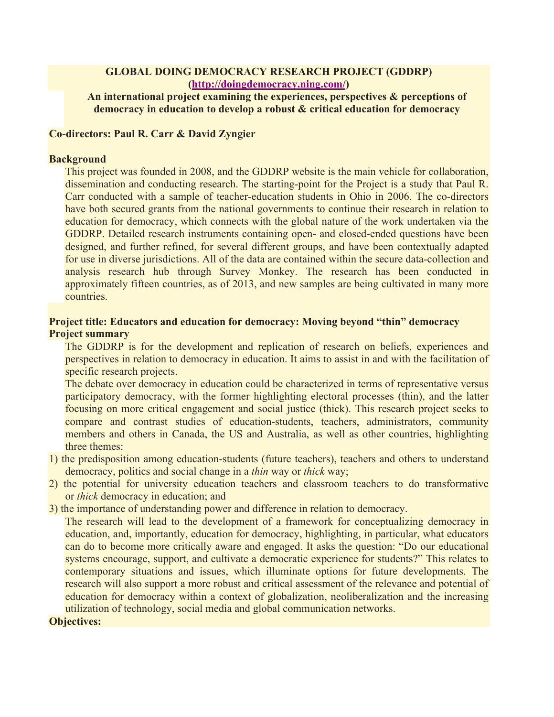## **GLOBAL DOING DEMOCRACY RESEARCH PROJECT (GDDRP) (http://doingdemocracy.ning.com/)**

## **An international project examining the experiences, perspectives & perceptions of democracy in education to develop a robust & critical education for democracy**

## **Co-directors: Paul R. Carr & David Zyngier**

### **Background**

This project was founded in 2008, and the GDDRP website is the main vehicle for collaboration, dissemination and conducting research. The starting-point for the Project is a study that Paul R. Carr conducted with a sample of teacher-education students in Ohio in 2006. The co-directors have both secured grants from the national governments to continue their research in relation to education for democracy, which connects with the global nature of the work undertaken via the GDDRP. Detailed research instruments containing open- and closed-ended questions have been designed, and further refined, for several different groups, and have been contextually adapted for use in diverse jurisdictions. All of the data are contained within the secure data-collection and analysis research hub through Survey Monkey. The research has been conducted in approximately fifteen countries, as of 2013, and new samples are being cultivated in many more countries.

## **Project title: Educators and education for democracy: Moving beyond "thin" democracy Project summary**

The GDDRP is for the development and replication of research on beliefs, experiences and perspectives in relation to democracy in education. It aims to assist in and with the facilitation of specific research projects.

The debate over democracy in education could be characterized in terms of representative versus participatory democracy, with the former highlighting electoral processes (thin), and the latter focusing on more critical engagement and social justice (thick). This research project seeks to compare and contrast studies of education-students, teachers, administrators, community members and others in Canada, the US and Australia, as well as other countries, highlighting three themes:

- 1) the predisposition among education-students (future teachers), teachers and others to understand democracy, politics and social change in a *thin* way or *thick* way;
- 2) the potential for university education teachers and classroom teachers to do transformative or *thick* democracy in education; and
- 3) the importance of understanding power and difference in relation to democracy.

The research will lead to the development of a framework for conceptualizing democracy in education, and, importantly, education for democracy, highlighting, in particular, what educators can do to become more critically aware and engaged. It asks the question: "Do our educational systems encourage, support, and cultivate a democratic experience for students?" This relates to contemporary situations and issues, which illuminate options for future developments. The research will also support a more robust and critical assessment of the relevance and potential of education for democracy within a context of globalization, neoliberalization and the increasing utilization of technology, social media and global communication networks.

#### **Objectives:**